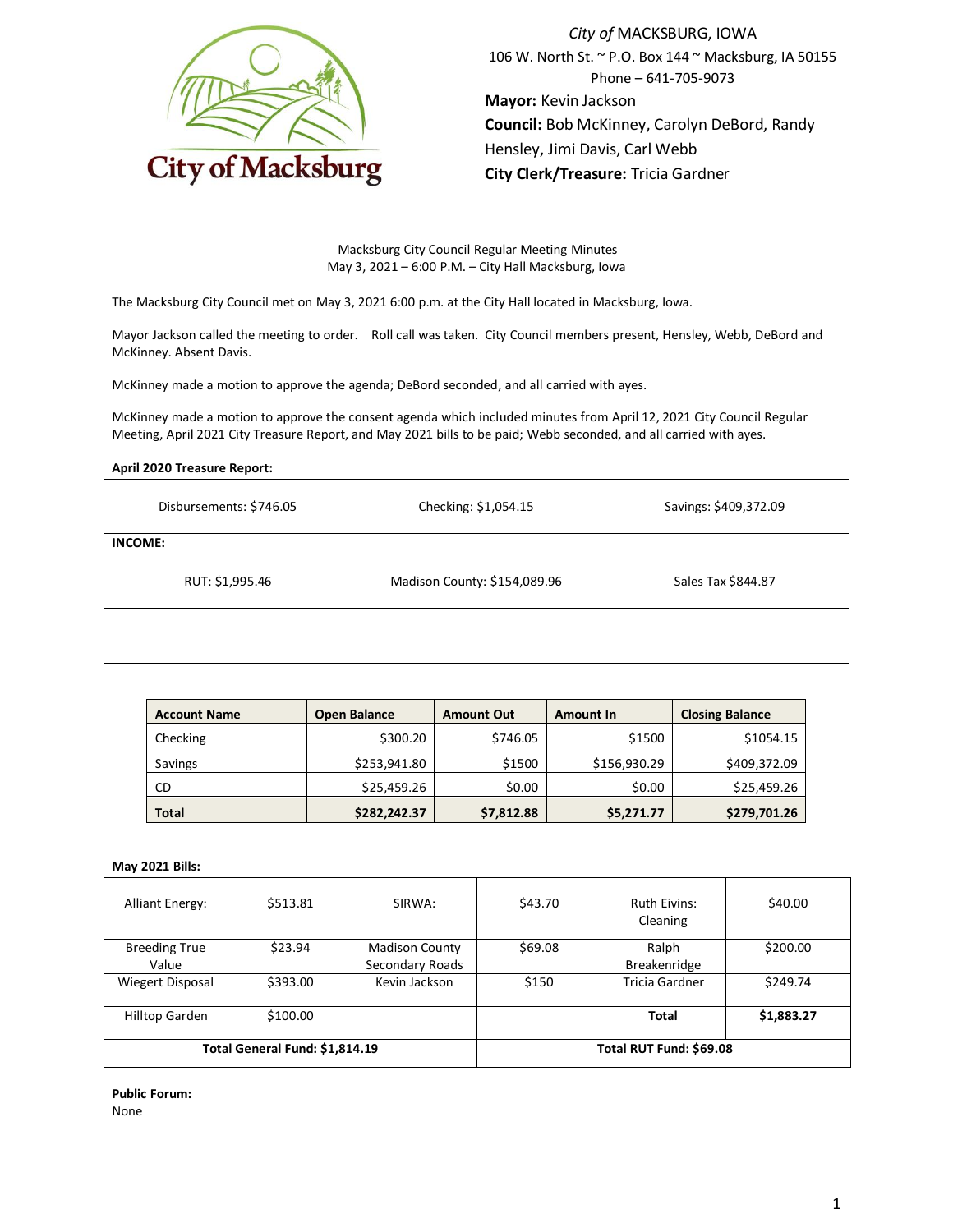

*City of* MACKSBURG, IOWA 106 W. North St. ~ P.O. Box 144 ~ Macksburg, IA 50155 Phone – 641-705-9073 **Mayor:** Kevin Jackson **Council:** Bob McKinney, Carolyn DeBord, Randy Hensley, Jimi Davis, Carl Webb **City Clerk/Treasure:** Tricia Gardner

Macksburg City Council Regular Meeting Minutes May 3, 2021 – 6:00 P.M. – City Hall Macksburg, Iowa

The Macksburg City Council met on May 3, 2021 6:00 p.m. at the City Hall located in Macksburg, Iowa.

Mayor Jackson called the meeting to order. Roll call was taken. City Council members present, Hensley, Webb, DeBord and McKinney. Absent Davis.

McKinney made a motion to approve the agenda; DeBord seconded, and all carried with ayes.

McKinney made a motion to approve the consent agenda which included minutes from April 12, 2021 City Council Regular Meeting, April 2021 City Treasure Report, and May 2021 bills to be paid; Webb seconded, and all carried with ayes.

### **April 2020 Treasure Report:**

| Disbursements: \$746.05 | Checking: \$1,054.15         | Savings: \$409,372.09 |  |
|-------------------------|------------------------------|-----------------------|--|
| <b>INCOME:</b>          |                              |                       |  |
| RUT: \$1,995.46         | Madison County: \$154,089.96 | Sales Tax \$844.87    |  |
|                         |                              |                       |  |

| <b>Account Name</b> | <b>Open Balance</b> | <b>Amount Out</b> | <b>Amount In</b> | <b>Closing Balance</b> |
|---------------------|---------------------|-------------------|------------------|------------------------|
| Checking            | \$300.20            | \$746.05          | \$1500           | \$1054.15              |
| Savings             | \$253,941.80        | \$1500            | \$156,930.29     | \$409,372.09           |
| CD                  | \$25,459.26         | \$0.00            | \$0.00           | \$25,459.26            |
| <b>Total</b>        | \$282,242.37        | \$7,812.88        | \$5,271.77       | \$279,701.26           |

## **May 2021 Bills:**

| <b>Alliant Energy:</b>         | \$513.81 | SIRWA:                  | \$43.70 | <b>Ruth Eivins:</b><br>Cleaning | \$40.00    |
|--------------------------------|----------|-------------------------|---------|---------------------------------|------------|
| <b>Breeding True</b>           | \$23.94  | <b>Madison County</b>   | \$69.08 | Ralph                           | \$200.00   |
| Value                          |          | Secondary Roads         |         | <b>Breakenridge</b>             |            |
| Wiegert Disposal               | \$393.00 | Kevin Jackson           | \$150   | Tricia Gardner                  | \$249.74   |
| Hilltop Garden                 | \$100.00 |                         |         | Total                           | \$1,883.27 |
| Total General Fund: \$1,814.19 |          | Total RUT Fund: \$69.08 |         |                                 |            |

**Public Forum:** None